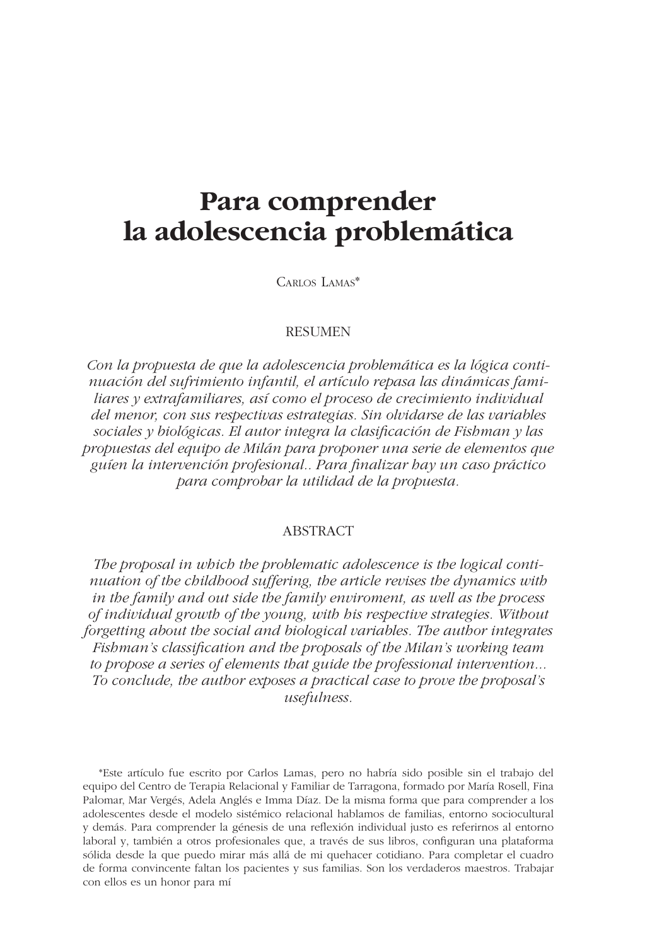# Para comprender la adolescencia problemática

CARLOS LAMAS\*

#### **RESUMEN**

Con la propuesta de que la adolescencia problemática es la lógica continuación del sufrimiento infantil, el artículo repasa las dinámicas familiares y extrafamiliares, así como el proceso de crecimiento individual del menor, con sus respectivas estrategias. Sin olvidarse de las variables sociales y biológicas. El autor integra la clasificación de Fishman y las propuestas del equipo de Milán para proponer una serie de elementos que guíen la intervención profesional.. Para finalizar bay un caso práctico para comprobar la utilidad de la propuesta.

## **ABSTRACT**

The proposal in which the problematic adolescence is the logical continuation of the childhood suffering, the article revises the dynamics with in the family and out side the family enviroment, as well as the process of individual growth of the young, with his respective strategies. Without forgetting about the social and biological variables. The author integrates Fishman's classification and the proposals of the Milan's working team to propose a series of elements that guide the professional intervention... To conclude, the author exposes a practical case to prove the proposal's *usefulness.* 

\*Este artículo fue escrito por Carlos Lamas, pero no habría sido posible sin el trabajo del equipo del Centro de Terapia Relacional y Familiar de Tarragona, formado por María Rosell, Fina Palomar, Mar Vergés, Adela Anglés e Imma Díaz. De la misma forma que para comprender a los adolescentes desde el modelo sistémico relacional hablamos de familias, entorno sociocultural y demás. Para comprender la génesis de una reflexión individual justo es referirnos al entorno laboral y, también a otros profesionales que, a través de sus libros, configuran una plataforma sólida desde la que puedo mirar más allá de mi quehacer cotidiano. Para completar el cuadro de forma convincente faltan los pacientes y sus familias. Son los verdaderos maestros. Trabajar con ellos es un honor para mí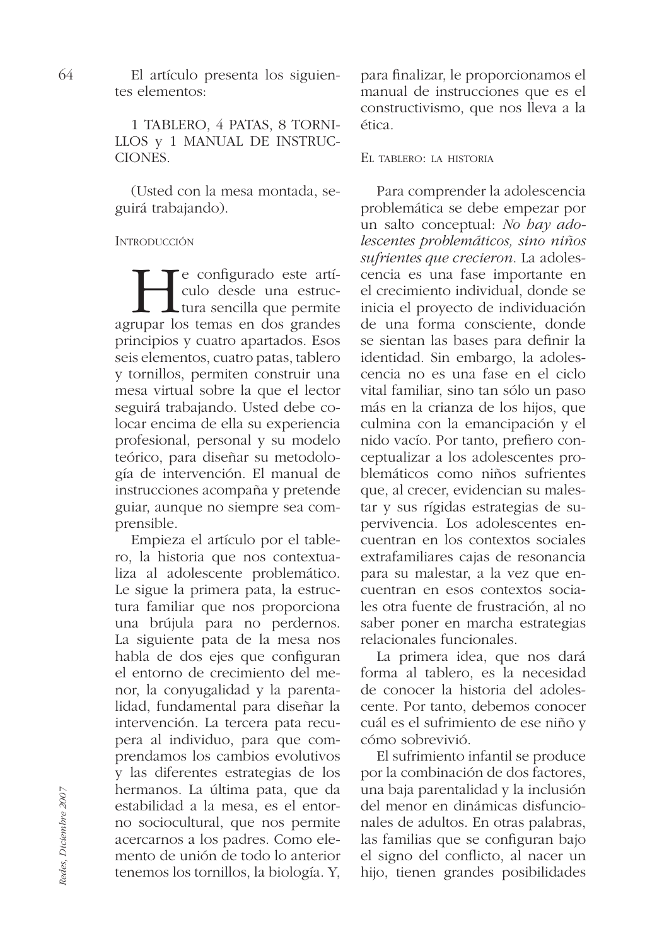El artículo presenta los siguientes elementos:

1 TABLERO, 4 PATAS, 8 TORNI-LLOS y 1 MANUAL DE INSTRUC-**CIONES** 

(Usted con la mesa montada, seguirá trabajando).

# **INTRODUCCIÓN**

e configurado este artículo desde una estruc-Ltura sencilla que permite agrupar los temas en dos grandes principios y cuatro apartados. Esos seis elementos, cuatro patas, tablero y tornillos, permiten construir una mesa virtual sobre la que el lector seguirá trabajando. Usted debe colocar encima de ella su experiencia profesional, personal y su modelo teórico, para diseñar su metodología de intervención. El manual de instrucciones acompaña y pretende guiar, aunque no siempre sea comprensible.

Empieza el artículo por el tablero, la historia que nos contextualiza al adolescente problemático. Le sigue la primera pata, la estructura familiar que nos proporciona una brújula para no perdernos. La siguiente pata de la mesa nos habla de dos ejes que configuran el entorno de crecimiento del menor, la conyugalidad y la parentalidad, fundamental para diseñar la intervención. La tercera pata recupera al individuo, para que comprendamos los cambios evolutivos y las diferentes estrategias de los hermanos. La última pata, que da estabilidad a la mesa, es el entorno sociocultural, que nos permite acercarnos a los padres. Como elemento de unión de todo lo anterior tenemos los tornillos, la biología. Y, para finalizar, le proporcionamos el manual de instrucciones que es el constructivismo, que nos lleva a la ética.

# EL TABLERO: LA HISTORIA

Para comprender la adolescencia problemática se debe empezar por un salto conceptual: No bay adolescentes problemáticos, sino niños sufrientes que crecieron. La adolescencia es una fase importante en el crecimiento individual, donde se inicia el proyecto de individuación de una forma consciente, donde se sientan las bases para definir la identidad. Sin embargo, la adolescencia no es una fase en el ciclo vital familiar, sino tan sólo un paso más en la crianza de los hijos, que culmina con la emancipación y el nido vacío. Por tanto, prefiero conceptualizar a los adolescentes problemáticos como niños sufrientes que, al crecer, evidencian su malestar y sus rígidas estrategias de supervivencia. Los adolescentes encuentran en los contextos sociales extrafamiliares cajas de resonancia para su malestar, a la vez que encuentran en esos contextos sociales otra fuente de frustración, al no saber poner en marcha estrategias relacionales funcionales.

La primera idea, que nos dará forma al tablero, es la necesidad de conocer la historia del adolescente. Por tanto, debemos conocer cuál es el sufrimiento de ese niño y cómo sobrevivió.

El sufrimiento infantil se produce por la combinación de dos factores, una baja parentalidad y la inclusión del menor en dinámicas disfuncionales de adultos. En otras palabras, las familias que se configuran bajo el signo del conflicto, al nacer un hijo, tienen grandes posibilidades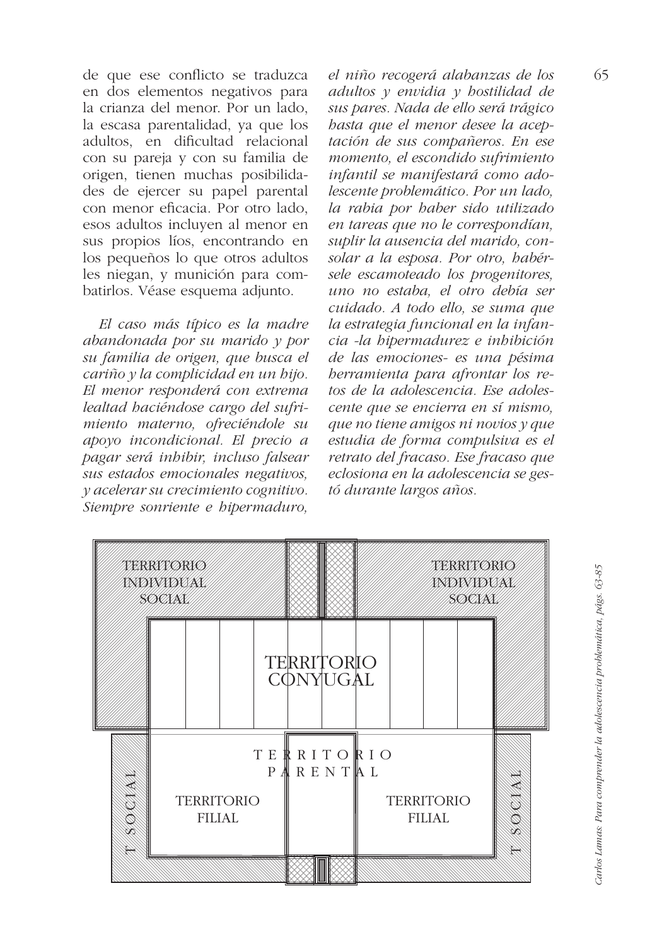de que ese conflicto se traduzca en dos elementos negativos para la crianza del menor. Por un lado, la escasa parentalidad, ya que los adultos, en dificultad relacional con su pareja y con su familia de origen, tienen muchas posibilidades de ejercer su papel parental con menor eficacia. Por otro lado. esos adultos incluyen al menor en sus propios líos, encontrando en los pequeños lo que otros adultos les niegan, y munición para combatirlos. Véase esquema adjunto.

El caso más típico es la madre abandonada por su marido  $y$  por su familia de origen, que busca el  $\overline{c}$ ariño y la complicidad en un bijo. El menor responderá con extrema lealtad haciéndose cargo del sufrimiento materno, ofreciéndole su apoyo incondicional. El precio a pagar será inhibir, incluso falsear sus estados emocionales negativos, y acelerar su crecimiento cognitivo. Siempre sonriente e hipermaduro,

el niño recogerá alabanzas de los adultos  $y$  envidia  $y$  bostilidad de sus pares. Nada de ello será trágico basta que el menor desee la aceptación de sus compañeros. En ese momento, el escondido sufrimiento infantil se manifestará como adolescente problemático. Por un lado, la rabia por haber sido utilizado en tareas que no le correspondían, suplir la ausencia del marido, consolar a la esposa. Por otro, habérsele escamoteado los progenitores, uno no estaba, el otro debía ser cuidado. A todo ello, se suma que la estrategia funcional en la infancia -la hipermadurez e inhibición de las emociones- es una pésima berramienta para afrontar los retos de la adolescencia. Ese adolescente que se encierra en sí mismo. que no tiene amigos ni novios y que estudia de forma compulsiva es el retrato del fracaso. Ese fracaso que eclosiona en la adolescencia se gestó durante largos años.

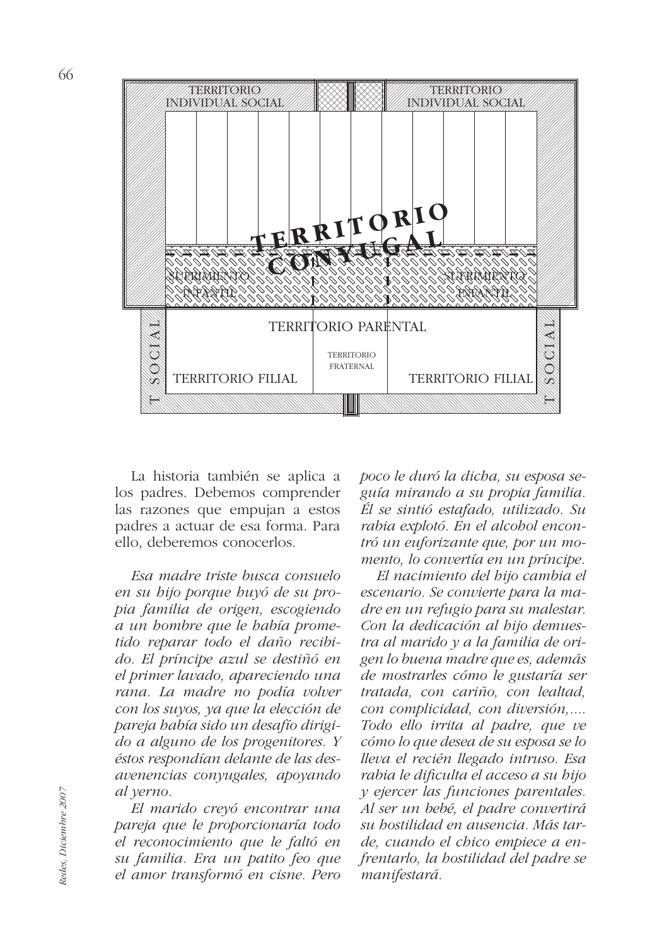

La historia también se aplica a los padres. Debemos comprender las razones que empujan a estos padres a actuar de esa forma. Para ello, deberemos conocerlos.

Esa madre triste busca consuelo en su bijo porque buyó de su propia familia de origen, escogiendo a un bombre que le babía prometido reparar todo el daño recibido. El príncipe azul se destiñó en el primer lavado, apareciendo una rana. La madre no podía volver con los suyos, ya que la elección de pareja había sido un desafío dirigido a alguno de los progenitores. Y éstos respondían delante de las desavenencias conyugales, apoyando al yerno.

El marido creyó encontrar una pareja que le proporcionaría todo el reconocimiento que le faltó en su familia. Era un patito feo que el amor transformó en cisne. Pero

poco le duró la dicha, su esposa seguía mirando a su propia familia. Él se sintió estafado, utilizado. Su rabia explotó. En el alcobol encontró un euforizante que, por un momento, lo convertía en un príncipe.

El nacimiento del bijo cambia el escenario. Se convierte para la madre en un refugio para su malestar. Con la dedicación al bijo demuestra al marido y a la familia de origen lo buena madre que es, además de mostrarles cómo le gustaría ser tratada, con cariño, con lealtad, con complicidad, con diversión,.... Todo ello irrita al padre, que ve cómo lo que desea de su esposa se lo lleva el recién llegado intruso. Esa rabia le dificulta el acceso a su hijo  $y$  ejercer las funciones parentales. Al ser un bebé, el padre convertirá su hostilidad en ausencia. Más tarde, cuando el chico empiece a enfrentarlo, la bostilidad del padre se manifestará.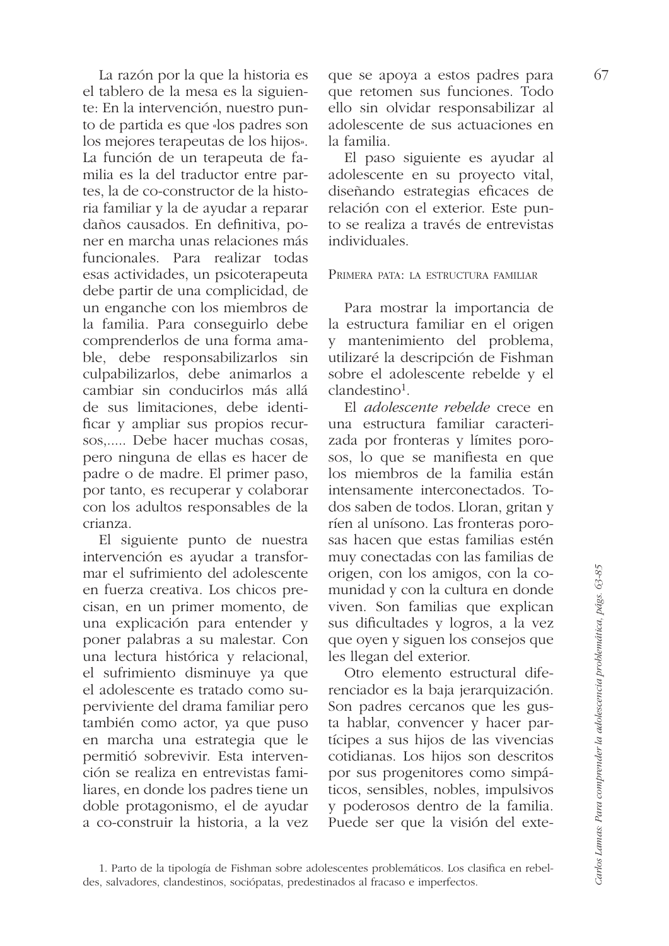La razón por la que la historia es el tablero de la mesa es la siguiente: En la intervención, nuestro punto de partida es que «los padres son los mejores terapeutas de los hijos». La función de un terapeuta de familia es la del traductor entre partes. la de co-constructor de la historia familiar y la de ayudar a reparar daños causados. En definitiva, poner en marcha unas relaciones más funcionales. Para realizar todas esas actividades, un psicoterapeuta debe partir de una complicidad, de un enganche con los miembros de la familia. Para conseguirlo debe comprenderlos de una forma amable, debe responsabilizarlos sin culpabilizarlos, debe animarlos a cambiar sin conducirlos más allá de sus limitaciones, debe identificar y ampliar sus propios recursos,..... Debe hacer muchas cosas, pero ninguna de ellas es hacer de padre o de madre. El primer paso, por tanto, es recuperar y colaborar con los adultos responsables de la crianza.

El siguiente punto de nuestra intervención es ayudar a transformar el sufrimiento del adolescente en fuerza creativa. Los chicos precisan, en un primer momento, de una explicación para entender y poner palabras a su malestar. Con una lectura histórica y relacional, el sufrimiento disminuye ya que el adolescente es tratado como superviviente del drama familiar pero también como actor, ya que puso en marcha una estrategia que le permitió sobrevivir. Esta intervención se realiza en entrevistas familiares, en donde los padres tiene un doble protagonismo, el de ayudar a co-construir la historia, a la vez que se apoya a estos padres para que retomen sus funciones. Todo ello sin olvidar responsabilizar al adolescente de sus actuaciones en la familia.

El paso siguiente es ayudar al adolescente en su proyecto vital, diseñando estrategias eficaces de relación con el exterior. Este punto se realiza a través de entrevistas individuales.

#### PRIMERA PATA: LA ESTRUCTURA FAMILIAR

Para mostrar la importancia de la estructura familiar en el origen y mantenimiento del problema, utilizaré la descripción de Fishman sobre el adolescente rebelde y el  $clandestino<sup>1</sup>$ .

El *adolescente rebelde* crece en una estructura familiar caracterizada por fronteras y límites porosos, lo que se manifiesta en que los miembros de la familia están intensamente interconectados. Todos saben de todos. Lloran, gritan y ríen al unísono. Las fronteras porosas hacen que estas familias estén muy conectadas con las familias de origen, con los amigos, con la comunidad y con la cultura en donde viven. Son familias que explican sus dificultades y logros, a la vez que oyen y siguen los consejos que les llegan del exterior.

Otro elemento estructural diferenciador es la baja jerarquización. Son padres cercanos que les gusta hablar, convencer y hacer partícipes a sus hijos de las vivencias cotidianas. Los hijos son descritos por sus progenitores como simpáticos, sensibles, nobles, impulsivos y poderosos dentro de la familia. Puede ser que la visión del exte-

Carlos Lamas: Para comprender la adolescencia problemática, págs. 63-85

<sup>1.</sup> Parto de la tipología de Fishman sobre adolescentes problemáticos. Los clasifica en rebeldes, salvadores, clandestinos, sociópatas, predestinados al fracaso e imperfectos.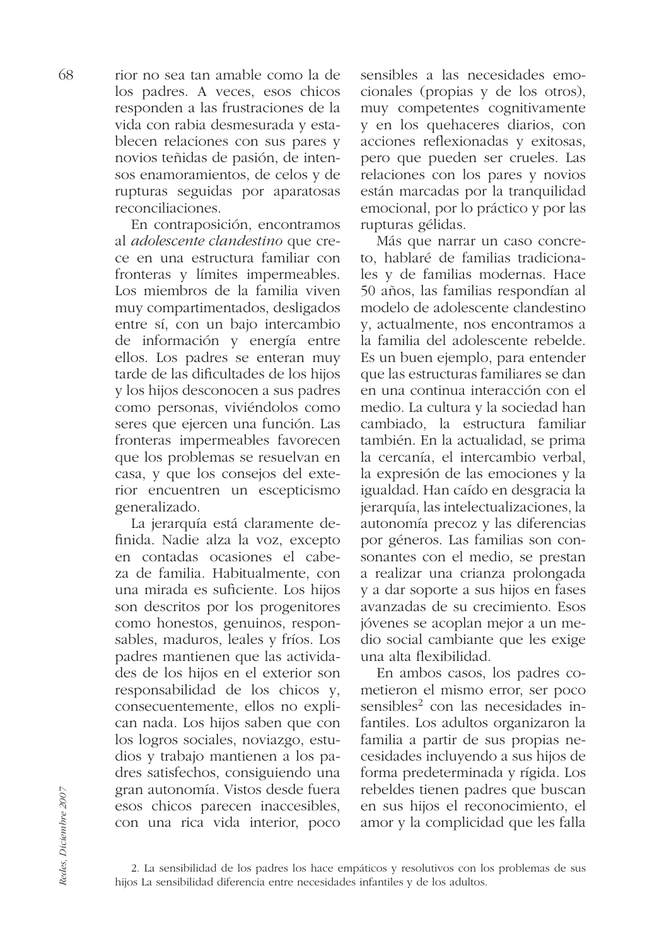rior no sea tan amable como la de los padres. A veces, esos chicos responden a las frustraciones de la vida con rabia desmesurada y establecen relaciones con sus pares y novios teñidas de pasión, de intensos enamoramientos, de celos y de rupturas seguidas por aparatosas reconciliaciones.

En contraposición, encontramos al adolescente clandestino que crece en una estructura familiar con fronteras y límites impermeables. Los miembros de la familia viven muy compartimentados, desligados entre sí, con un bajo intercambio de información y energía entre ellos. Los padres se enteran muy tarde de las dificultades de los hijos y los hijos desconocen a sus padres como personas, viviéndolos como seres que ejercen una función. Las fronteras impermeables favorecen que los problemas se resuelvan en casa, y que los consejos del exterior encuentren un escepticismo generalizado.

La jerarquía está claramente definida. Nadie alza la voz, excepto en contadas ocasiones el cabeza de familia. Habitualmente, con una mirada es suficiente. Los hijos son descritos por los progenitores como honestos, genuinos, responsables, maduros, leales y fríos. Los padres mantienen que las actividades de los hijos en el exterior son responsabilidad de los chicos y, consecuentemente, ellos no explican nada. Los hijos saben que con los logros sociales, noviazgo, estudios y trabajo mantienen a los padres satisfechos, consiguiendo una gran autonomía. Vistos desde fuera esos chicos parecen inaccesibles, con una rica vida interior, poco sensibles a las necesidades emocionales (propias y de los otros), muy competentes cognitivamente y en los quehaceres diarios, con acciones reflexionadas y exitosas, pero que pueden ser crueles. Las relaciones con los pares y novios están marcadas por la tranquilidad emocional, por lo práctico y por las rupturas gélidas.

Más que narrar un caso concreto, hablaré de familias tradicionales y de familias modernas. Hace 50 años, las familias respondían al modelo de adolescente clandestino v. actualmente, nos encontramos a la familia del adolescente rebelde. Es un buen ejemplo, para entender que las estructuras familiares se dan en una continua interacción con el medio. La cultura y la sociedad han cambiado, la estructura familiar también. En la actualidad, se prima la cercanía, el intercambio verbal, la expresión de las emociones y la igualdad. Han caído en desgracia la jerarquía, las intelectualizaciones, la autonomía precoz y las diferencias por géneros. Las familias son consonantes con el medio, se prestan a realizar una crianza prolongada y a dar soporte a sus hijos en fases avanzadas de su crecimiento. Esos jóvenes se acoplan mejor a un medio social cambiante que les exige una alta flexibilidad.

En ambos casos, los padres cometieron el mismo error, ser poco sensibles<sup>2</sup> con las necesidades infantiles. Los adultos organizaron la familia a partir de sus propias necesidades incluvendo a sus hijos de forma predeterminada y rígida. Los rebeldes tienen padres que buscan en sus hijos el reconocimiento, el amor y la complicidad que les falla

<sup>2.</sup> La sensibilidad de los padres los hace empáticos y resolutivos con los problemas de sus hijos La sensibilidad diferencia entre necesidades infantiles y de los adultos.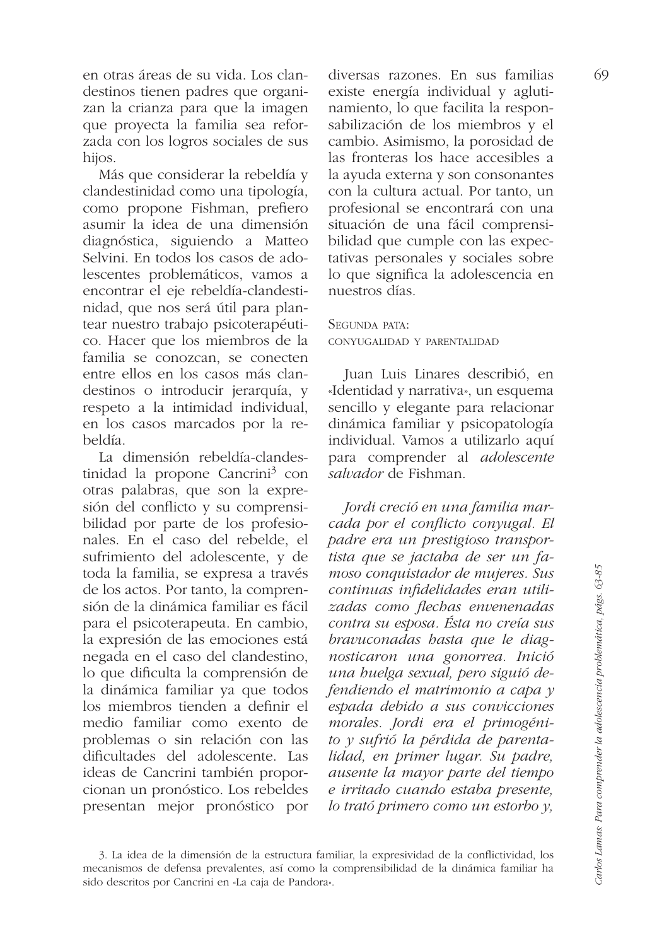en otras áreas de su vida. Los clandestinos tienen padres que organizan la crianza para que la imagen que proyecta la familia sea reforzada con los logros sociales de sus hijos.

Más que considerar la rebeldía y clandestinidad como una tipología, como propone Fishman, prefiero asumir la idea de una dimensión diagnóstica, siguiendo a Matteo Selvini. En todos los casos de adolescentes problemáticos, vamos a encontrar el eje rebeldía-clandestinidad, que nos será útil para plantear nuestro trabajo psicoterapéutico. Hacer que los miembros de la familia se conozcan, se conecten entre ellos en los casos más clandestinos o introducir jerarquía, y respeto a la intimidad individual, en los casos marcados por la rebeldía

La dimensión rebeldía-clandestinidad la propone Cancrini<sup>3</sup> con otras palabras, que son la expresión del conflicto y su comprensibilidad por parte de los profesionales. En el caso del rebelde, el sufrimiento del adolescente, y de toda la familia, se expresa a través de los actos. Por tanto, la comprensión de la dinámica familiar es fácil para el psicoterapeuta. En cambio, la expresión de las emociones está negada en el caso del clandestino, lo que dificulta la comprensión de la dinámica familiar ya que todos los miembros tienden a definir el medio familiar como exento de problemas o sin relación con las dificultades del adolescente. Las ideas de Cancrini también proporcionan un pronóstico. Los rebeldes presentan mejor pronóstico por diversas razones. En sus familias existe energía individual y aglutinamiento, lo que facilita la responsabilización de los miembros y el cambio. Asimismo, la porosidad de las fronteras los hace accesibles a la ayuda externa y son consonantes con la cultura actual. Por tanto, un profesional se encontrará con una situación de una fácil comprensibilidad que cumple con las expectativas personales y sociales sobre lo que significa la adolescencia en nuestros días

## SEGUNDA PATA: CONYUGALIDAD Y PARENTALIDAD

Juan Luis Linares describió, en «Identidad y narrativa», un esquema sencillo y elegante para relacionar dinámica familiar y psicopatología individual. Vamos a utilizarlo aquí para comprender al adolescente salvador de Fishman.

Jordi creció en una familia marcada por el conflicto conyugal. El padre era un prestigioso transportista que se jactaba de ser un famoso conquistador de mujeres. Sus continuas infidelidades eran utilizadas como flechas envenenadas contra su esposa. Ésta no creía sus bravuconadas hasta que le diagnosticaron una gonorrea. Inició una huelga sexual, pero siguió defendiendo el matrimonio a capa  $\nu$ espada debido a sus convicciones morales. Jordi era el primogénito y sufrió la pérdida de parentalidad, en primer lugar. Su padre, ausente la mayor parte del tiempo e irritado cuando estaba presente, lo trató primero como un estorbo v.

<sup>3.</sup> La idea de la dimensión de la estructura familiar, la expresividad de la conflictividad, los mecanismos de defensa prevalentes, así como la comprensibilidad de la dinámica familiar ha sido descritos por Cancrini en «La caja de Pandora».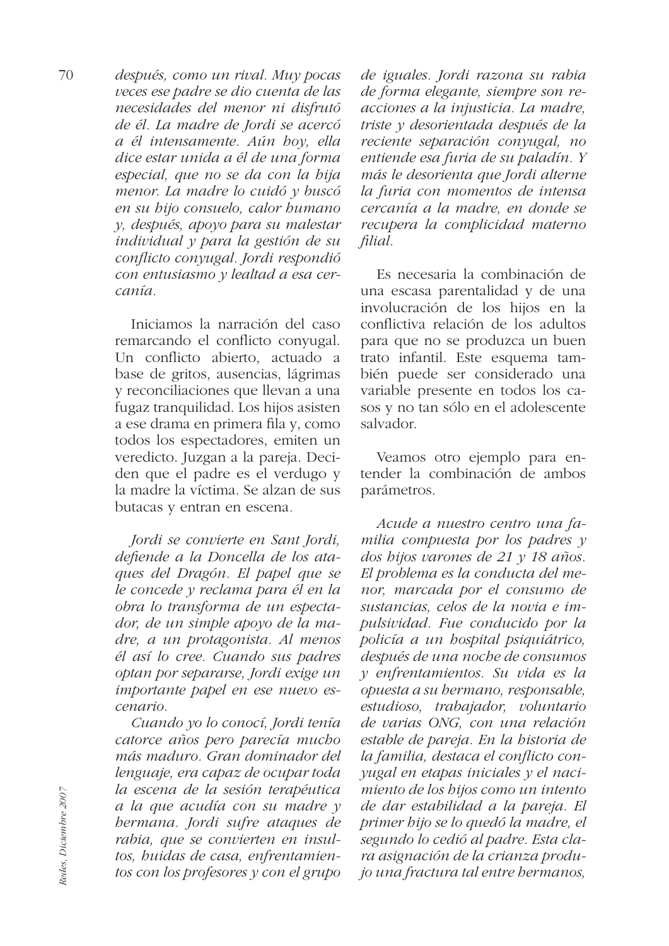después, como un rival. Muy pocas veces ese padre se dio cuenta de las necesidades del menor ni disfrutó de él. La madre de Jordi se acercó a él intensamente. Aún boy, ella dice estar unida a él de una forma especial, que no se da con la bija menor. La madre lo cuidó y buscó en su bijo consuelo, calor bumano y, después, apoyo para su malestar individual  $\overline{v}$  para la gestión de su conflicto convugal. Jordi respondió con entusiasmo y lealtad a esa cer $cania$ 

Iniciamos la narración del caso remarcando el conflicto conyugal. Un conflicto abierto, actuado a base de gritos, ausencias, lágrimas y reconciliaciones que llevan a una fugaz tranquilidad. Los hijos asisten a ese drama en primera fila y, como todos los espectadores, emiten un veredicto. Juzgan a la pareja. Deciden que el padre es el verdugo y la madre la víctima. Se alzan de sus butacas y entran en escena.

Jordi se convierte en Sant Jordi, defiende a la Doncella de los ataques del Dragón. El papel que se le concede y reclama para él en la obra lo transforma de un espectador, de un simple apoyo de la madre, a un protagonista. Al menos él así lo cree. Cuando sus padres optan por separarse, Jordi exige un importante papel en ese nuevo escenario.

Cuando yo lo conocí, Jordi tenía catorce años pero parecía mucho más maduro. Gran dominador del lenguaje, era capaz de ocupar toda la escena de la sesión terapéutica a la que acudía con su madre y bermana. Jordi sufre ataques de rabia, que se convierten en insultos, huidas de casa, enfrentamientos con los profesores y con el grupo

de iguales. Jordi razona su rabia de forma elegante, siempre son reacciones a la injusticia. La madre, triste y desorientada después de la reciente separación conyugal, no entiende esa furia de su paladín. Y más le desorienta que Jordi alterne la furia con momentos de intensa cercanía a la madre, en donde se recupera la complicidad materno filial.

Es necesaria la combinación de una escasa parentalidad y de una involucración de los hijos en la conflictiva relación de los adultos para que no se produzca un buen trato infantil. Este esquema también puede ser considerado una variable presente en todos los casos y no tan sólo en el adolescente salvador.

Veamos otro ejemplo para entender la combinación de ambos parámetros.

Acude a nuestro centro una familia compuesta por los padres  $y$ dos hijos varones de 21 y 18 años. El problema es la conducta del menor, marcada por el consumo de sustancias, celos de la novia e impulsividad. Fue conducido por la policía a un bospital psiquiátrico, después de una noche de consumos y enfrentamientos. Su vida es la opuesta a su hermano, responsable, estudioso, trabajador, voluntario de varias ONG, con una relación estable de pareja. En la bistoria de la familia, destaca el conflicto conyugal en etapas iniciales y el nacimiento de los hijos como un intento de dar estabilidad a la pareja. El primer bijo se lo quedó la madre, el segundo lo cedió al padre. Esta clara asignación de la crianza produjo una fractura tal entre bermanos,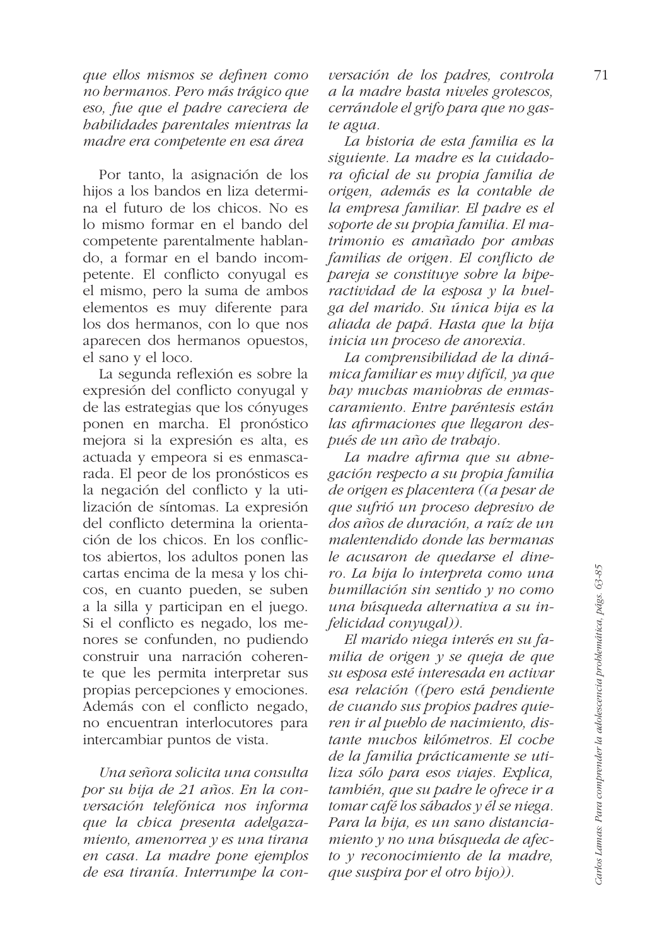que ellos mismos se definen como no bermanos. Pero más trágico que eso, fue que el padre careciera de habilidades parentales mientras la madre era competente en esa área

Por tanto, la asignación de los hijos a los bandos en liza determina el futuro de los chicos. No es lo mismo formar en el bando del competente parentalmente hablando. a formar en el bando incompetente. El conflicto conyugal es el mismo, pero la suma de ambos elementos es muy diferente para los dos hermanos, con lo que nos aparecen dos hermanos opuestos. el sano y el loco.

La segunda reflexión es sobre la expresión del conflicto conyugal y de las estrategias que los cónyuges ponen en marcha. El pronóstico mejora si la expresión es alta, es actuada y empeora si es enmascarada. El peor de los pronósticos es la negación del conflicto y la utilización de síntomas. La expresión del conflicto determina la orientación de los chicos. En los conflictos abiertos, los adultos ponen las cartas encima de la mesa y los chicos, en cuanto pueden, se suben a la silla y participan en el juego. Si el conflicto es negado, los menores se confunden, no pudiendo construir una narración coherente que les permita interpretar sus propias percepciones y emociones. Además con el conflicto negado, no encuentran interlocutores para intercambiar puntos de vista.

Una señora solicita una consulta por su bija de 21 años. En la conversación telefónica nos informa que la chica presenta adelgazamiento, amenorrea y es una tirana en casa. La madre pone ejemplos de esa tiranía. Interrumpe la conversación de los padres, controla a la madre hasta niveles grotescos, cerrándole el grifo para que no gaste agua.

La historia de esta familia es la siguiente. La madre es la cuidadora oficial de su propia familia de origen, además es la contable de la empresa familiar. El padre es el soporte de su propia familia. El matrimonio es amañado por ambas familias de origen. El conflicto de pareja se constituye sobre la biperactividad de la esposa y la huelga del marido. Su única bija es la aliada de papá. Hasta que la bija inicia un proceso de anorexia.

La comprensibilidad de la dinámica familiar es muy difícil, ya que bay muchas maniobras de enmascaramiento. Entre paréntesis están las afirmaciones que llegaron después de un año de trabajo.

La madre afirma que su abnegación respecto a su propia familia de origen es placentera ((a pesar de que sufrió un proceso depresivo de dos años de duración, a raíz de un malentendido donde las hermanas le acusaron de quedarse el dinero. La bija lo interpreta como una  $bumillación sin sentido y no como$ una búsqueda alternativa a su infelicidad conyugal)).

El marido niega interés en su familia de origen y se queja de que su esposa esté interesada en activar esa relación ((pero está pendiente de cuando sus propios padres quieren ir al pueblo de nacimiento, distante muchos kilómetros. El coche de la familia prácticamente se utiliza sólo para esos viajes. Explica, también, que su padre le ofrece ir a tomar café los sábados y él se niega. Para la bija, es un sano distanciamiento y no una búsqueda de afecto  $\gamma$  reconocimiento de la madre, que suspira por el otro hijo)).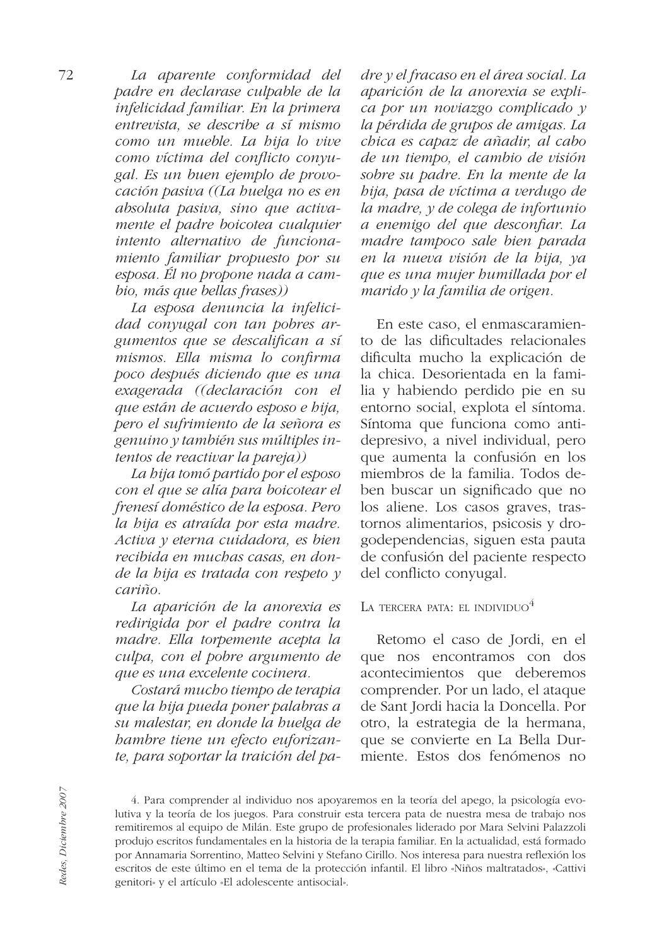La aparente conformidad del padre en declarase culpable de la infelicidad familiar. En la primera entrevista, se describe a sí mismo como un mueble. La bija lo vive como víctima del conflicto convugal. Es un buen ejemplo de provocación pasiva ((La buelga no es en absoluta pasiva, sino que activamente el padre boicotea cualquier intento alternativo de funcionamiento familiar propuesto por su esposa. Él no propone nada a cambio, más que bellas frases))

La esposa denuncia la infelicidad conyugal con tan pobres argumentos que se descalifican a sí mismos. Ella misma lo confirma poco después diciendo que es una exagerada ((declaración con el que están de acuerdo esposo e bija, pero el sufrimiento de la señora es genuino y también sus múltiples intentos de reactivar la pareja))

La bija tomó partido por el esposo con el que se alía para boicotear el frenesí doméstico de la esposa. Pero la bija es atraída por esta madre. Activa y eterna cuidadora, es bien recibida en muchas casas, en donde la bija es tratada con respeto  $\nu$  $\overline{c}$ ariño.

La aparición de la anorexia es redirigida por el padre contra la madre. Ella torpemente acepta la culpa, con el pobre argumento de que es una excelente cocinera.

Costará mucho tiempo de terapia que la bija pueda poner palabras a su malestar, en donde la buelga de bambre tiene un efecto euforizante, para soportar la traición del padre y el fracaso en el área social. La aparición de la anorexia se explica por un noviazgo complicado y la pérdida de grupos de amigas. La chica es capaz de añadir, al cabo de un tiempo, el cambio de visión sobre su padre. En la mente de la bija, pasa de víctima a verdugo de la madre, y de colega de infortunio a enemigo del que desconfiar. La madre tampoco sale bien parada en la nueva visión de la bija, ya que es una mujer bumillada por el marido y la familia de origen.

En este caso, el enmascaramiento de las dificultades relacionales dificulta mucho la explicación de la chica. Desorientada en la familia y habiendo perdido pie en su entorno social, explota el síntoma. Síntoma que funciona como antidepresivo, a nivel individual, pero que aumenta la confusión en los miembros de la familia. Todos deben buscar un significado que no los aliene. Los casos graves, trastornos alimentarios, psicosis y drogodependencias, siguen esta pauta de confusión del paciente respecto del conflicto conyugal.

LA TERCERA PATA: EL INDIVIDUO<sup>4</sup>

Retomo el caso de Jordi, en el que nos encontramos con dos acontecimientos que deberemos comprender. Por un lado, el ataque de Sant Jordi hacia la Doncella. Por otro, la estrategia de la hermana, que se convierte en La Bella Durmiente. Estos dos fenómenos no

<sup>4.</sup> Para comprender al individuo nos apoyaremos en la teoría del apego, la psicología evolutiva y la teoría de los juegos. Para construir esta tercera pata de nuestra mesa de trabajo nos remitiremos al equipo de Milán. Este grupo de profesionales liderado por Mara Selvini Palazzoli produjo escritos fundamentales en la historia de la terapia familiar. En la actualidad, está formado por Annamaria Sorrentino, Matteo Selvini y Stefano Cirillo. Nos interesa para nuestra reflexión los escritos de este último en el tema de la protección infantil. El libro «Niños maltratados», «Cattivi genitori» y el artículo «El adolescente antisocial».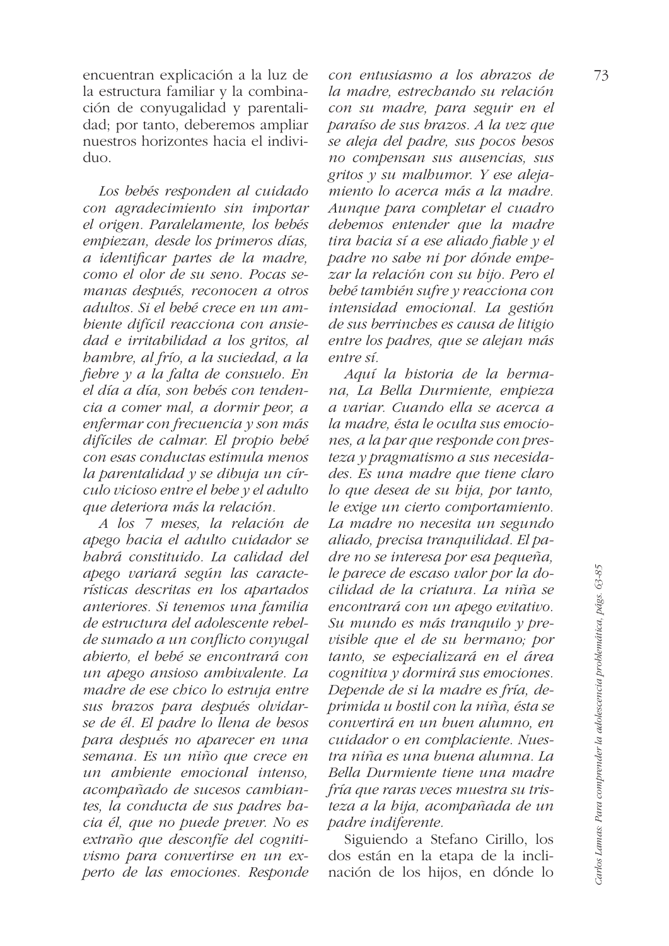encuentran explicación a la luz de la estructura familiar y la combinación de conyugalidad y parentalidad; por tanto, deberemos ampliar nuestros horizontes hacia el indivi $d$ uo

Los bebés responden al cuidado con agradecimiento sin importar el origen. Paralelamente, los bebés empiezan, desde los primeros días, a identificar partes de la madre, como el olor de su seno. Pocas semanas después, reconocen a otros adultos. Si el bebé crece en un ambiente difícil reacciona con ansiedad e irritabilidad a los gritos, al bambre, al frío, a la suciedad, a la fiebre y a la falta de consuelo. En el día a día, son bebés con tendencia a comer mal, a dormir peor, a enfermar con frecuencia y son más difíciles de calmar. El propio bebé con esas conductas estimula menos la parentalidad y se dibuja un círculo vicioso entre el bebe y el adulto que deteriora más la relación.

A los 7 meses, la relación de apego hacia el adulto cuidador se babrá constituido. La calidad del apego variará según las características descritas en los apartados anteriores. Si tenemos una familia de estructura del adolescente rebelde sumado a un conflicto conyugal abierto, el bebé se encontrará con un apego ansioso ambivalente. La madre de ese chico lo estruja entre sus brazos para después olvidarse de él. El padre lo llena de besos para después no aparecer en una semana. Es un niño que crece en un ambiente emocional intenso, acompañado de sucesos cambiantes, la conducta de sus padres hacia él, que no puede prever. No es extraño que desconfíe del cognitivismo para convertirse en un experto de las emociones. Responde

con entusiasmo a los abrazos de la madre, estrechando su relación con su madre, para seguir en el paraíso de sus brazos. A la vez que se aleja del padre, sus pocos besos no compensan sus ausencias, sus gritos y su malbumor. Y ese alejamiento lo acerca más a la madre. Aunque para completar el cuadro debemos entender que la madre tira bacia sí a ese aliado fiable y el padre no sabe ni por dónde empezar la relación con su bijo. Pero el bebé también sufre y reacciona con intensidad emocional. La gestión de sus berrinches es causa de litigio entre los padres, que se alejan más entre sí.

Aquí la historia de la hermana, La Bella Durmiente, empieza a variar. Cuando ella se acerca a la madre, ésta le oculta sus emociones, a la par que responde con presteza y pragmatismo a sus necesidades. Es una madre que tiene claro lo que desea de su bija, por tanto, le exige un cierto comportamiento. La madre no necesita un segundo aliado, precisa tranquilidad. El padre no se interesa por esa pequeña, le parece de escaso valor por la docilidad de la criatura. La niña se encontrará con un apego evitativo. Su mundo es más tranquilo y previsible que el de su bermano; por tanto, se especializará en el área cognitiva y dormirá sus emociones. Depende de si la madre es fría, deprimida u hostil con la niña, ésta se convertirá en un buen alumno, en cuidador o en complaciente. Nuestra niña es una buena alumna. La Bella Durmiente tiene una madre fría que raras veces muestra su tristeza a la bija, acompañada de un padre indiferente.

Siguiendo a Stefano Cirillo, los dos están en la etapa de la inclinación de los hijos, en dónde lo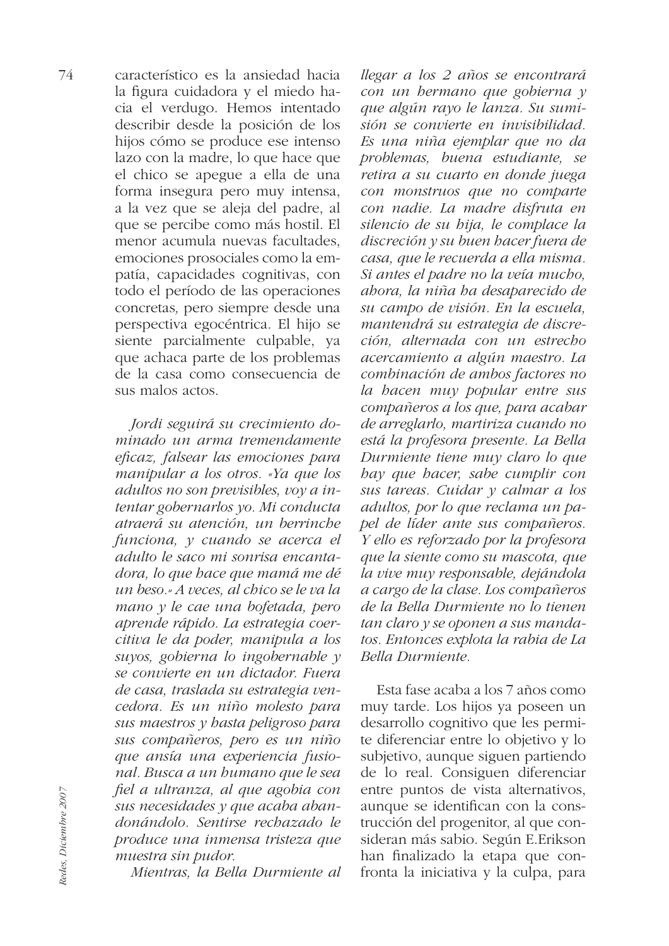característico es la ansiedad hacia la figura cuidadora y el miedo hacia el verdugo. Hemos intentado describir desde la posición de los hijos cómo se produce ese intenso lazo con la madre, lo que hace que el chico se apegue a ella de una forma insegura pero muy intensa, a la vez que se aleja del padre, al que se percibe como más hostil. El menor acumula nuevas facultades. emociones prosociales como la empatía, capacidades cognitivas, con todo el período de las operaciones concretas, pero siempre desde una perspectiva egocéntrica. El hijo se siente parcialmente culpable, ya que achaca parte de los problemas de la casa como consecuencia de sus malos actos

> Jordi seguirá su crecimiento dominado un arma tremendamente eficaz, falsear las emociones para manipular a los otros. «Ya que los adultos no son previsibles, voy a intentar gobernarlos yo. Mi conducta atraerá su atención, un berrinche funciona, y cuando se acerca el adulto le saco mi sonrisa encantadora, lo que bace que mamá me dé un beso.» A veces, al chico se le va la mano y le cae una bofetada, pero aprende rápido. La estrategia coercitiva le da poder, manipula a los suyos, gobierna lo ingobernable y se convierte en un dictador. Fuera de casa, traslada su estrategia vencedora. Es un niño molesto para sus maestros y hasta peligroso para sus compañeros, pero es un niño que ansía una experiencia fusional. Busca a un bumano que le sea fiel a ultranza, al que agobia con sus necesidades y que acaba abandonándolo. Sentirse rechazado le produce una inmensa tristeza que muestra sin pudor.

Mientras, la Bella Durmiente al

llegar a los 2 años se encontrará con un bermano que gobierna y que algún rayo le lanza. Su sumisión se convierte en invisibilidad. Es una niña ejemplar que no da problemas, buena estudiante, se retira a su cuarto en donde juega con monstruos que no comparte con nadie. La madre disfruta en silencio de su bija, le complace la discreción y su buen hacer fuera de casa, que le recuerda a ella misma. Si antes el padre no la veía mucho, abora, la niña ba desaparecido de su campo de visión. En la escuela, mantendrá su estrategia de discreción, alternada con un estrecho acercamiento a algún maestro. La combinación de ambos factores no la bacen muy popular entre sus compañeros a los que, para acabar de arreglarlo, martiriza cuando no está la profesora presente. La Bella Durmiente tiene muy claro lo que bay que bacer, sabe cumplir con sus tareas. Cuidar y calmar a los adultos, por lo que reclama un papel de líder ante sus compañeros. Y ello es reforzado por la profesora que la siente como su mascota, que la vive muy responsable, dejándola a cargo de la clase. Los compañeros de la Bella Durmiente no lo tienen tan claro y se oponen a sus mandatos. Entonces explota la rabia de La Bella Durmiente.

Esta fase acaba a los 7 años como muy tarde. Los hijos ya poseen un desarrollo cognitivo que les permite diferenciar entre lo objetivo y lo subjetivo, aunque siguen partiendo de lo real. Consiguen diferenciar entre puntos de vista alternativos, aunque se identifican con la construcción del progenitor, al que consideran más sabio. Según E.Erikson han finalizado la etapa que confronta la iniciativa y la culpa, para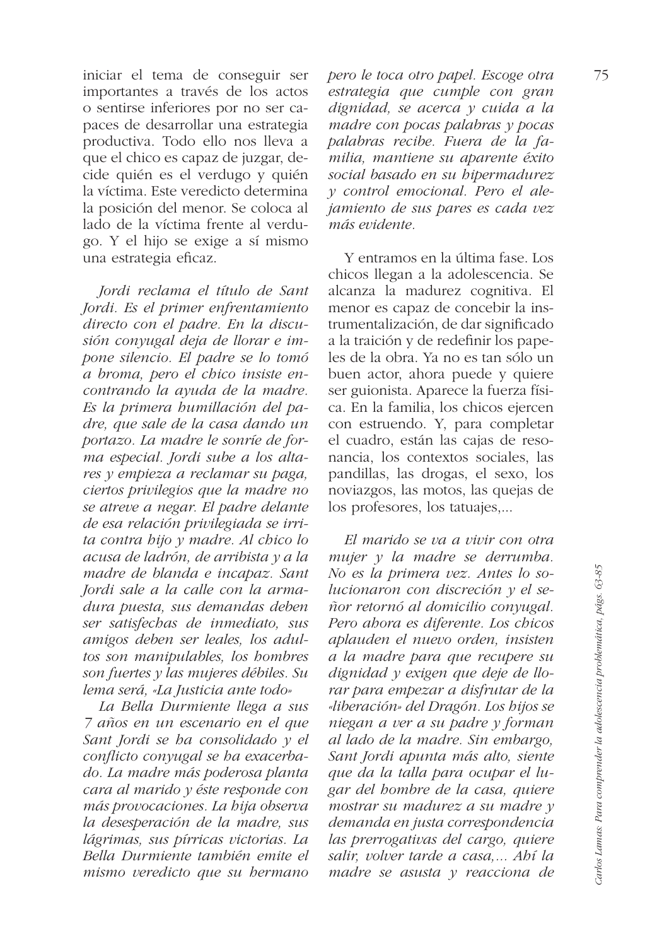iniciar el tema de conseguir ser importantes a través de los actos o sentirse inferiores por no ser capaces de desarrollar una estrategia productiva. Todo ello nos lleva a que el chico es capaz de juzgar, decide quién es el verdugo y quién la víctima. Este veredicto determina la posición del menor. Se coloca al lado de la víctima frente al verdugo. Y el hijo se exige a sí mismo una estrategia eficaz.

Jordi reclama el título de Sant Jordi. Es el primer enfrentamiento directo con el padre. En la discusión conyugal deja de llorar e impone silencio. El padre se lo tomó a broma, pero el chico insiste encontrando la avuda de la madre. Es la primera humillación del padre, que sale de la casa dando un portazo. La madre le sonríe de forma especial. Jordi sube a los altares y empieza a reclamar su paga, ciertos privilegios que la madre no se atreve a negar. El padre delante de esa relación privilegiada se irrita contra hijo y madre. Al chico lo acusa de ladrón, de arribista y a la madre de blanda e incapaz. Sant Jordi sale a la calle con la armadura puesta, sus demandas deben ser satisfechas de inmediato, sus amigos deben ser leales, los adultos son manipulables, los hombres son fuertes y las mujeres débiles. Su lema será, «La Justicia ante todo»

La Bella Durmiente llega a sus 7 años en un escenario en el que Sant Jordi se ha consolidado y el conflicto convugal se ha exacerbado. La madre más poderosa planta cara al marido y éste responde con más provocaciones. La bija observa la desesperación de la madre, sus lágrimas, sus pírricas victorias. La Bella Durmiente también emite el mismo veredicto que su hermano pero le toca otro papel. Escoge otra estrategia que cumple con gran dignidad, se acerca y cuida a la madre con pocas palabras  $\nu$  pocas palabras recibe. Fuera de la familia, mantiene su aparente éxito social basado en su hipermadurez v control emocional. Pero el alejamiento de sus pares es cada vez más evidente

Y entramos en la última fase. Los chicos llegan a la adolescencia. Se alcanza la madurez cognitiva. El menor es capaz de concebir la instrumentalización, de dar significado a la traición y de redefinir los papeles de la obra. Ya no es tan sólo un buen actor, ahora puede y quiere ser guionista. Aparece la fuerza física. En la familia, los chicos ejercen con estruendo. Y, para completar el cuadro, están las cajas de resonancia, los contextos sociales, las pandillas, las drogas, el sexo, los noviazgos, las motos, las quejas de los profesores, los tatuajes,...

El marido se va a vivir con otra mujer y la madre se derrumba. No es la primera vez. Antes lo solucionaron con discreción y el señor retornó al domicilio conyugal. Pero abora es diferente. Los chicos aplauden el nuevo orden, insisten a la madre para que recupere su dignidad y exigen que deje de llorar para empezar a disfrutar de la «liberación» del Dragón. Los hijos se niegan a ver a su padre y forman al lado de la madre. Sin embargo, Sant Jordi apunta más alto, siente que da la talla para ocupar el lugar del bombre de la casa, quiere mostrar su madurez a su madre v demanda en justa correspondencia las prerrogativas del cargo, quiere salir, volver tarde a casa,... Abí la madre se asusta y reacciona de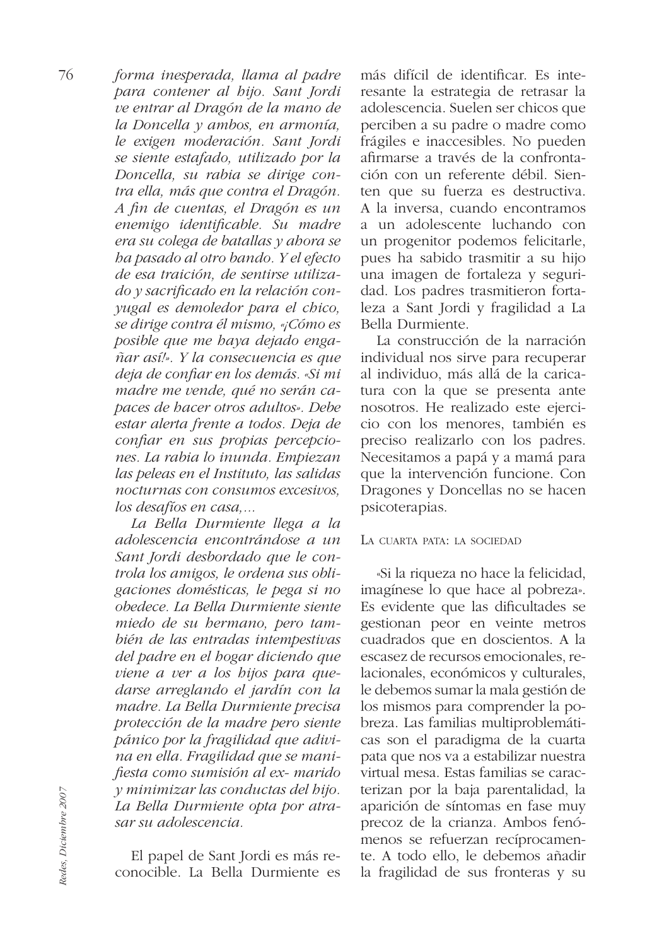forma inesperada, llama al padre para contener al bijo. Sant Jordi ve entrar al Dragón de la mano de la Doncella y ambos, en armonía, le exigen moderación. Sant Jordi se siente estafado, utilizado por la Doncella, su rabia se dirige contra ella, más que contra el Dragón. A fin de cuentas, el Dragón es un enemigo identificable. Su madre era su colega de batallas y abora se ba pasado al otro bando. Y el efecto de esa traición, de sentirse utilizado y sacrificado en la relación conyugal es demoledor para el chico, se dirige contra él mismo, «¡Cómo es posible que me baya dejado engañar así!». Y la consecuencia es que deja de confiar en los demás. «Si mi madre me vende, qué no serán capaces de hacer otros adultos». Debe estar alerta frente a todos. Deja de confiar en sus propias percepciones. La rabia lo inunda. Empiezan las peleas en el Instituto, las salidas nocturnas con consumos excesivos, los desafíos en casa....

La Bella Durmiente llega a la adolescencia encontrándose a un Sant Jordi desbordado que le controla los amigos, le ordena sus obligaciones domésticas, le pega si no obedece. La Bella Durmiente siente miedo de su hermano, pero también de las entradas intempestivas del padre en el bogar diciendo que viene a ver a los bijos para quedarse arreglando el jardín con la madre. La Bella Durmiente precisa protección de la madre pero siente pánico por la fragilidad que adivina en ella. Fragilidad que se manifiesta como sumisión al ex- marido y minimizar las conductas del bijo. La Bella Durmiente opta por atrasar su adolescencia.

El papel de Sant Jordi es más reconocible. La Bella Durmiente es

más difícil de identificar. Es interesante la estrategia de retrasar la adolescencia. Suelen ser chicos que perciben a su padre o madre como frágiles e inaccesibles. No pueden afirmarse a través de la confrontación con un referente débil. Sienten que su fuerza es destructiva. A la inversa, cuando encontramos a un adolescente luchando con un progenitor podemos felicitarle, pues ha sabido trasmitir a su hijo una imagen de fortaleza y seguridad. Los padres trasmitieron fortaleza a Sant Jordi y fragilidad a La Bella Durmiente.

La construcción de la narración individual nos sirve para recuperar al individuo, más allá de la caricatura con la que se presenta ante nosotros. He realizado este ejercicio con los menores, también es preciso realizarlo con los padres. Necesitamos a papá y a mamá para que la intervención funcione. Con Dragones y Doncellas no se hacen psicoterapias.

## LA CUARTA PATA: LA SOCIEDAD

«Si la riqueza no hace la felicidad, imagínese lo que hace al pobreza». Es evidente que las dificultades se gestionan peor en veinte metros cuadrados que en doscientos. A la escasez de recursos emocionales, relacionales, económicos y culturales, le debemos sumar la mala gestión de los mismos para comprender la pobreza. Las familias multiproblemáticas son el paradigma de la cuarta pata que nos va a estabilizar nuestra virtual mesa. Estas familias se caracterizan por la baja parentalidad, la aparición de síntomas en fase muy precoz de la crianza. Ambos fenómenos se refuerzan recíprocamente. A todo ello, le debemos añadir la fragilidad de sus fronteras y su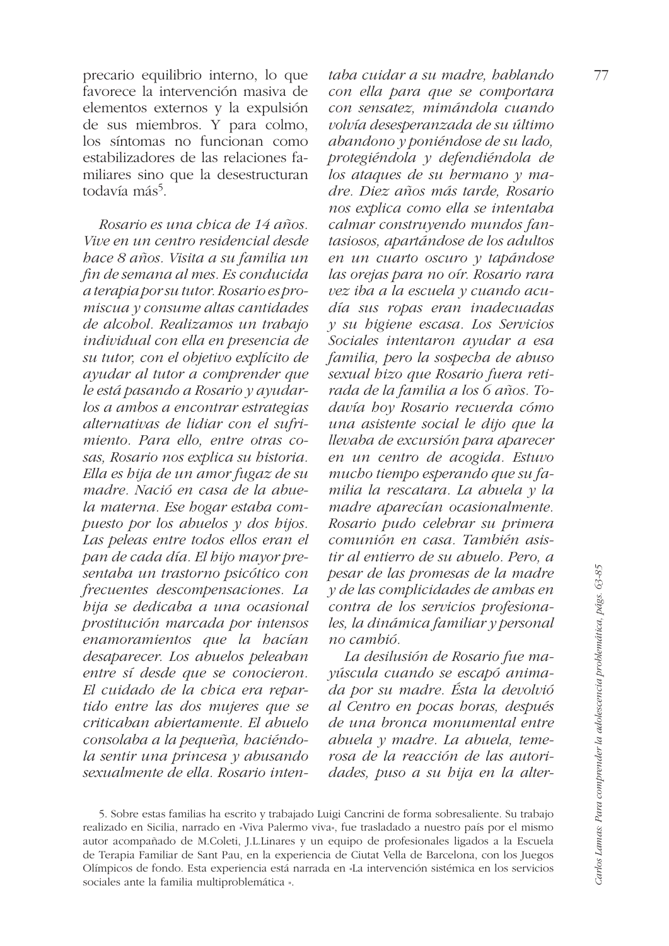precario equilibrio interno, lo que favorece la intervención masiva de elementos externos y la expulsión de sus miembros. Y para colmo, los síntomas no funcionan como estabilizadores de las relaciones familiares sino que la desestructuran todavía más<sup>5</sup>.

Rosario es una chica de 14 años. Vive en un centro residencial desde hace 8 años. Visita a su familia un fin de semana al mes. Es conducida a terapia por su tutor. Rosario es promiscua y consume altas cantidades de alcobol. Realizamos un trabajo individual con ella en presencia de su tutor, con el objetivo explícito de ayudar al tutor a comprender que le está pasando a Rosario y ayudarlos a ambos a encontrar estrategias alternativas de lidiar con el sufrimiento. Para ello, entre otras cosas, Rosario nos explica su historia. Ella es hija de un amor fugaz de su madre. Nació en casa de la abuela materna. Ese bogar estaba compuesto por los abuelos  $y$  dos hijos. Las peleas entre todos ellos eran el pan de cada día. El bijo mayor presentaba un trastorno psicótico con frecuentes descompensaciones. La bija se dedicaba a una ocasional prostitución marcada por intensos enamoramientos que la bacían desaparecer. Los abuelos peleaban entre sí desde que se conocieron. El cuidado de la chica era repartido entre las dos mujeres que se criticaban abiertamente. El abuelo consolaba a la pequeña, haciéndola sentir una princesa y abusando sexualmente de ella. Rosario inten-

taba cuidar a su madre, hablando con ella para que se comportara con sensatez, mimándola cuando volvía desesperanzada de su último abandono y poniéndose de su lado, protegiéndola y defendiéndola de los ataques de su bermano  $\gamma$  madre. Diez años más tarde. Rosario nos explica como ella se intentaba calmar construyendo mundos fantasiosos, apartándose de los adultos en un cuarto oscuro y tapándose las orejas para no oír. Rosario rara vez iba a la escuela y cuando acudía sus ropas eran inadecuadas y su higiene escasa. Los Servicios Sociales intentaron ayudar a esa familia, pero la sospecha de abuso sexual bizo que Rosario fuera retirada de la familia a los 6 años. Todavía hoy Rosario recuerda cómo una asistente social le dijo que la llevaba de excursión para aparecer en un centro de acogida. Estuvo mucho tiempo esperando que su familia la rescatara. La abuela y la madre aparecían ocasionalmente. Rosario pudo celebrar su primera comunión en casa. También asistir al entierro de su abuelo. Pero, a pesar de las promesas de la madre  $y$  de las complicidades de ambas en contra de los servicios profesionales, la dinámica familiar y personal no cambió.

La desilusión de Rosario fue mavúscula cuando se escapó animada por su madre. Ésta la devolvió al Centro en pocas horas, después de una bronca monumental entre abuela y madre. La abuela, temerosa de la reacción de las autoridades, puso a su bija en la alter-

5. Sobre estas familias ha escrito y trabajado Luigi Cancrini de forma sobresaliente. Su trabajo realizado en Sicilia, narrado en «Viva Palermo viva», fue trasladado a nuestro país por el mismo autor acompañado de M.Coleti, J.L.Linares y un equipo de profesionales ligados a la Escuela de Terapia Familiar de Sant Pau, en la experiencia de Ciutat Vella de Barcelona, con los Juegos Olímpicos de fondo. Esta experiencia está narrada en «La intervención sistémica en los servicios sociales ante la familia multiproblemática ».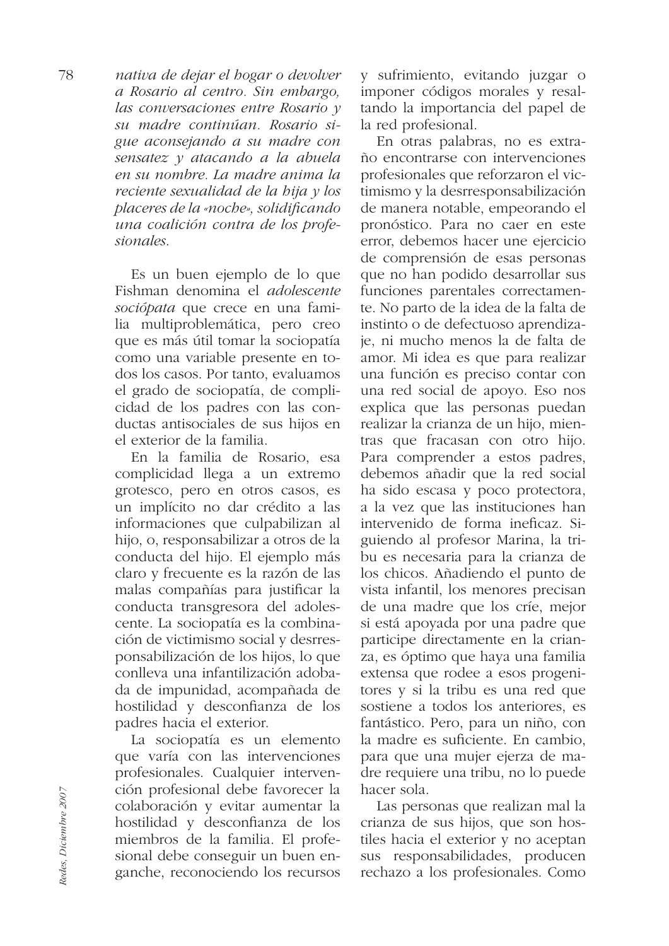nativa de dejar el hogar o devolver a Rosario al centro. Sin embargo, las conversaciones entre Rosario y su madre continúan. Rosario sigue aconsejando a su madre con sensatez y atacando a la abuela en su nombre. La madre anima la reciente sexualidad de la bija y los placeres de la «noche», solidificando una coalición contra de los profesionales.

> Es un buen ejemplo de lo que Fishman denomina el *adolescente* sociópata que crece en una familia multiproblemática, pero creo que es más útil tomar la sociopatía como una variable presente en todos los casos. Por tanto, evaluamos el grado de sociopatía, de complicidad de los padres con las conductas antisociales de sus hijos en el exterior de la familia.

> En la familia de Rosario, esa complicidad llega a un extremo grotesco, pero en otros casos, es un implícito no dar crédito a las informaciones que culpabilizan al hijo, o, responsabilizar a otros de la conducta del hijo. El ejemplo más claro y frecuente es la razón de las malas compañías para justificar la conducta transgresora del adolescente. La sociopatía es la combinación de victimismo social y desrresponsabilización de los hijos, lo que conlleva una infantilización adobada de impunidad, acompañada de hostilidad y desconfianza de los padres hacia el exterior.

> La sociopatía es un elemento que varía con las intervenciones profesionales. Cualquier intervención profesional debe favorecer la colaboración y evitar aumentar la hostilidad y desconfianza de los miembros de la familia. El profesional debe conseguir un buen enganche, reconociendo los recursos

y sufrimiento, evitando juzgar o imponer códigos morales y resaltando la importancia del papel de la red profesional.

En otras palabras, no es extraño encontrarse con intervenciones profesionales que reforzaron el victimismo y la desrresponsabilización de manera notable, empeorando el pronóstico. Para no caer en este error, debemos hacer une ejercicio de comprensión de esas personas que no han podido desarrollar sus funciones parentales correctamente. No parto de la idea de la falta de instinto o de defectuoso aprendizaje, ni mucho menos la de falta de amor. Mi idea es que para realizar una función es preciso contar con una red social de apoyo. Eso nos explica que las personas puedan realizar la crianza de un hijo, mientras que fracasan con otro hijo. Para comprender a estos padres, debemos añadir que la red social ha sido escasa y poco protectora, a la vez que las instituciones han intervenido de forma ineficaz. Siguiendo al profesor Marina, la tribu es necesaria para la crianza de los chicos. Añadiendo el punto de vista infantil, los menores precisan de una madre que los críe, mejor si está apoyada por una padre que participe directamente en la crianza, es óptimo que haya una familia extensa que rodee a esos progenitores y si la tribu es una red que sostiene a todos los anteriores, es fantástico. Pero, para un niño, con la madre es suficiente. En cambio, para que una mujer ejerza de madre requiere una tribu, no lo puede hacer sola.

Las personas que realizan mal la crianza de sus hijos, que son hostiles hacia el exterior y no aceptan sus responsabilidades, producen rechazo a los profesionales. Como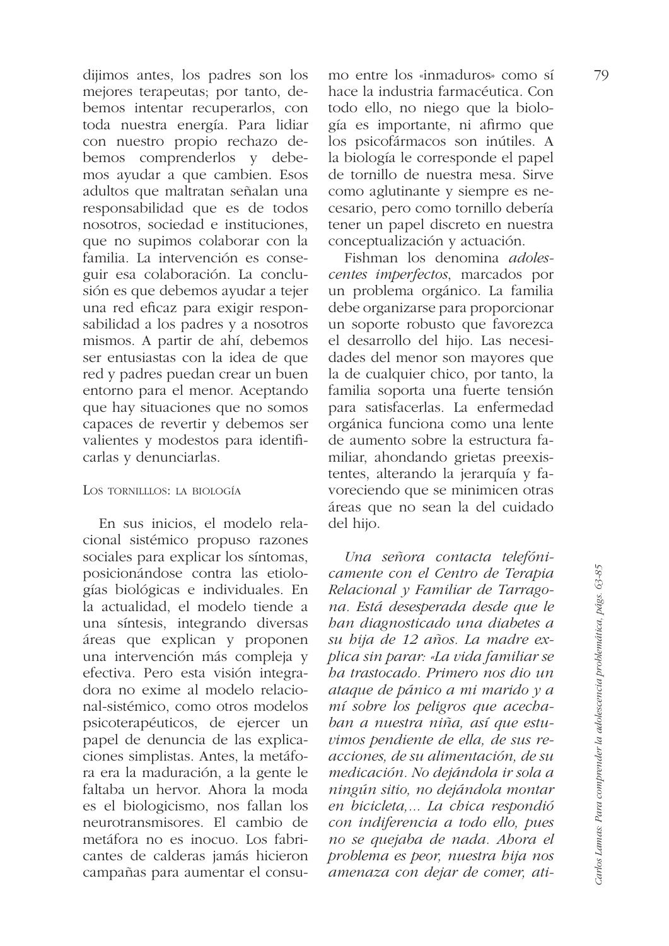dijimos antes, los padres son los mejores terapeutas; por tanto, debemos intentar recuperarlos, con toda nuestra energía. Para lidiar con nuestro propio rechazo debemos comprenderlos y debemos ayudar a que cambien. Esos adultos que maltratan señalan una responsabilidad que es de todos nosotros, sociedad e instituciones, que no supimos colaborar con la familia. La intervención es conseguir esa colaboración. La conclusión es que debemos ayudar a tejer una red eficaz para exigir responsabilidad a los padres y a nosotros mismos. A partir de ahí, debemos ser entusiastas con la idea de que red y padres puedan crear un buen entorno para el menor. Aceptando que hay situaciones que no somos capaces de revertir y debemos ser valientes y modestos para identificarlas y denunciarlas.

## LOS TORNILLLOS: LA BIOLOGÍA

En sus inicios, el modelo relacional sistémico propuso razones sociales para explicar los síntomas, posicionándose contra las etiologías biológicas e individuales. En la actualidad, el modelo tiende a una síntesis, integrando diversas áreas que explican y proponen una intervención más compleja y efectiva. Pero esta visión integradora no exime al modelo relacional-sistémico, como otros modelos psicoterapéuticos, de ejercer un papel de denuncia de las explicaciones simplistas. Antes, la metáfora era la maduración, a la gente le faltaba un hervor. Ahora la moda es el biologicismo, nos fallan los neurotransmisores. El cambio de metáfora no es inocuo. Los fabricantes de calderas jamás hicieron campañas para aumentar el consumo entre los «inmaduros» como sí hace la industria farmacéutica. Con todo ello, no niego que la biología es importante, ni afirmo que los psicofármacos son inútiles. A la biología le corresponde el papel de tornillo de nuestra mesa. Sirve como aglutinante y siempre es necesario, pero como tornillo debería tener un papel discreto en nuestra conceptualización y actuación.

Fishman los denomina *adoles*centes imperfectos, marcados por un problema orgánico. La familia debe organizarse para proporcionar un soporte robusto que favorezca el desarrollo del hijo. Las necesidades del menor son mayores que la de cualquier chico, por tanto, la familia soporta una fuerte tensión para satisfacerlas. La enfermedad orgánica funciona como una lente de aumento sobre la estructura familiar, ahondando grietas preexistentes, alterando la jerarquía y favoreciendo que se minimicen otras áreas que no sean la del cuidado del hijo.

Una señora contacta telefónicamente con el Centro de Terapia Relacional y Familiar de Tarragona. Está desesperada desde que le ban diagnosticado una diabetes a su bija de 12 años. La madre explica sin parar: «La vida familiar se ha trastocado. Primero nos dio un ataque de pánico a mi marido y a mí sobre los peligros que acechaban a nuestra niña, así que estuvimos pendiente de ella, de sus reacciones, de su alimentación, de su medicación. No dejándola ir sola a ningún sitio, no dejándola montar en bicicleta.... La chica respondió con indiferencia a todo ello, pues no se quejaba de nada. Abora el problema es peor, nuestra bija nos amenaza con dejar de comer, ati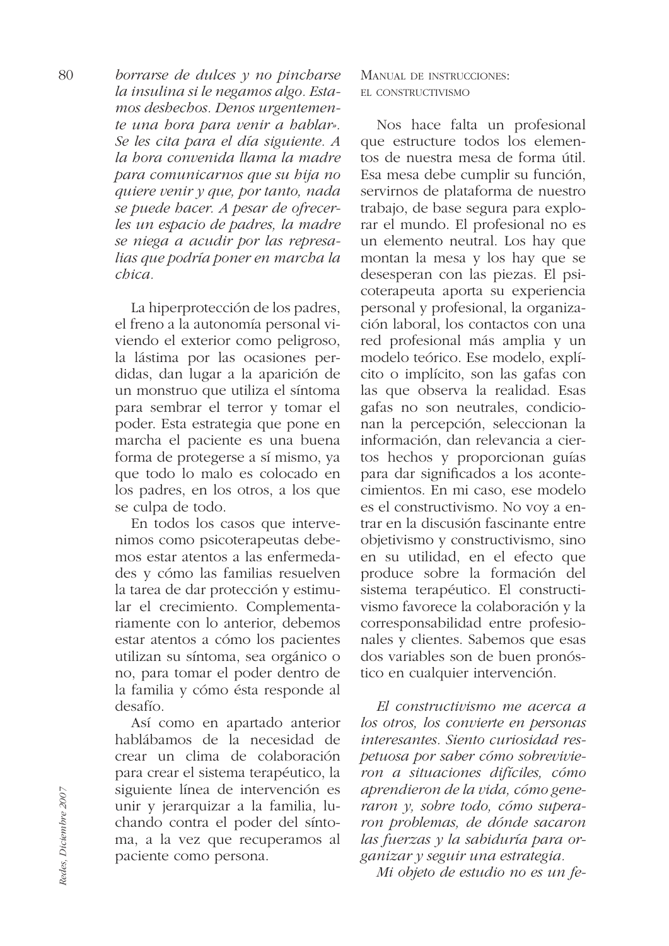80 borrarse de dulces  $y$  no pincharse la insulina si le negamos algo. Estamos deshechos. Denos urgentemente una bora para venir a bablar». Se les cita para el día siguiente. A la bora convenida llama la madre para comunicarnos que su bija no quiere venir y que, por tanto, nada se puede hacer. A pesar de ofrecerles un espacio de padres, la madre se niega a acudir por las represalias que podría poner en marcha la  $chica$ .

> La hiperprotección de los padres, el freno a la autonomía personal viviendo el exterior como peligroso, la lástima por las ocasiones perdidas, dan lugar a la aparición de un monstruo que utiliza el síntoma para sembrar el terror y tomar el poder. Esta estrategia que pone en marcha el paciente es una buena forma de protegerse a sí mismo, ya que todo lo malo es colocado en los padres, en los otros, a los que se culpa de todo.

> En todos los casos que intervenimos como psicoterapeutas debemos estar atentos a las enfermedades y cómo las familias resuelven la tarea de dar protección y estimular el crecimiento. Complementariamente con lo anterior, debemos estar atentos a cómo los pacientes utilizan su síntoma, sea orgánico o no, para tomar el poder dentro de la familia y cómo ésta responde al desafío.

> Así como en apartado anterior hablábamos de la necesidad de crear un clima de colaboración para crear el sistema terapéutico, la siguiente línea de intervención es unir y jerarquizar a la familia, luchando contra el poder del síntoma, a la vez que recuperamos al paciente como persona.

# MANUAL DE INSTRUCCIONES: EL CONSTRUCTIVISMO

Nos hace falta un profesional que estructure todos los elementos de nuestra mesa de forma útil. Esa mesa debe cumplir su función, servirnos de plataforma de nuestro trabajo, de base segura para explorar el mundo. El profesional no es un elemento neutral. Los hay que montan la mesa y los hay que se desesperan con las piezas. El psicoterapeuta aporta su experiencia personal y profesional, la organización laboral, los contactos con una red profesional más amplia y un modelo teórico. Ese modelo, explícito o implícito, son las gafas con las que observa la realidad. Esas gafas no son neutrales, condicionan la percepción, seleccionan la información, dan relevancia a ciertos hechos y proporcionan guías para dar significados a los acontecimientos. En mi caso, ese modelo es el constructivismo. No voy a entrar en la discusión fascinante entre objetivismo y constructivismo, sino en su utilidad, en el efecto que produce sobre la formación del sistema terapéutico. El constructivismo favorece la colaboración y la corresponsabilidad entre profesionales y clientes. Sabemos que esas dos variables son de buen pronóstico en cualquier intervención.

El constructivismo me acerca a los otros, los convierte en personas interesantes. Siento curiosidad respetuosa por saber cómo sobrevivieron a situaciones difíciles, cómo aprendieron de la vida, cómo generaron y, sobre todo, cómo superaron problemas, de dónde sacaron las fuerzas y la sabiduría para organizar y seguir una estrategia.

Mi objeto de estudio no es un fe-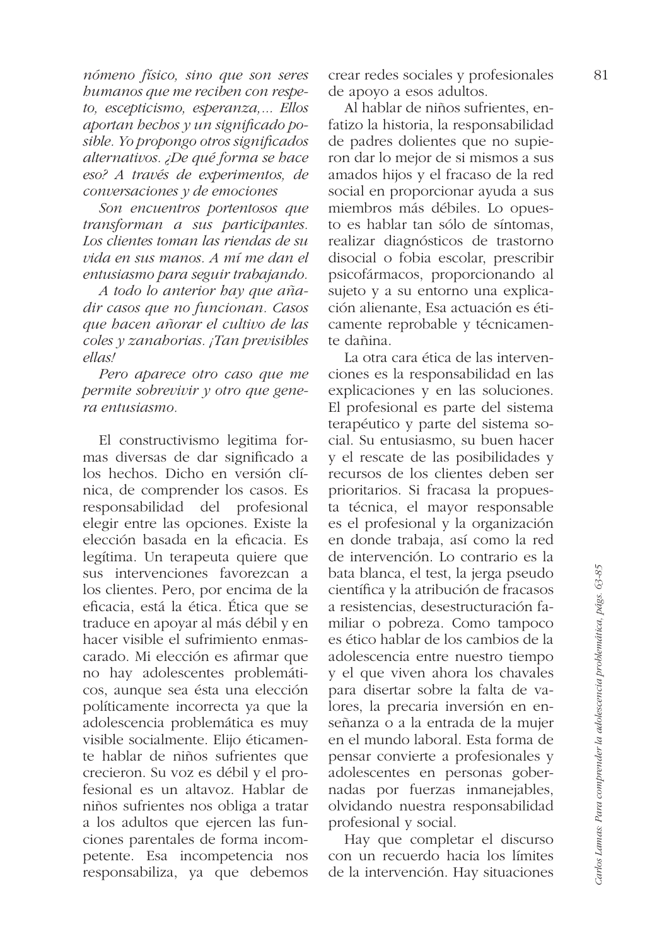nómeno físico, sino que son seres bumanos que me reciben con respeto, escepticismo, esperanza,... Ellos aportan hechos y un significado posible. Yo propongo otros significados alternativos. ¿De qué forma se hace eso? A través de experimentos, de  $conversaciones$  y de emociones

Son encuentros portentosos que transforman a sus participantes. Los clientes toman las riendas de su vida en sus manos. A mí me dan el entusiasmo para seguir trabajando.

A todo lo anterior bay que añadir casos que no funcionan. Casos que bacen añorar el cultivo de las coles y zanahorias. ¡Tan previsibles ellas!

Pero aparece otro caso que me permite sobrevivir  $y$  otro que genera entusiasmo

El constructivismo legitima formas diversas de dar significado a los hechos. Dicho en versión clínica, de comprender los casos. Es responsabilidad del profesional elegir entre las opciones. Existe la elección basada en la eficacia. Es legítima. Un terapeuta quiere que sus intervenciones favorezcan a los clientes. Pero, por encima de la eficacia, está la ética. Ética que se traduce en apovar al más débil y en hacer visible el sufrimiento enmascarado. Mi elección es afirmar que no hay adolescentes problemáticos, aunque sea ésta una elección políticamente incorrecta ya que la adolescencia problemática es muy visible socialmente. Elijo éticamente hablar de niños sufrientes que crecieron. Su voz es débil y el profesional es un altavoz. Hablar de niños sufrientes nos obliga a tratar a los adultos que ejercen las funciones parentales de forma incompetente. Esa incompetencia nos responsabiliza, ya que debemos

crear redes sociales y profesionales de apoyo a esos adultos.

Al hablar de niños sufrientes, enfatizo la historia, la responsabilidad de padres dolientes que no supieron dar lo mejor de si mismos a sus amados hijos y el fracaso de la red social en proporcionar ayuda a sus miembros más débiles. Lo opuesto es hablar tan sólo de síntomas. realizar diagnósticos de trastorno disocial o fobia escolar, prescribir psicofármacos, proporcionando al sujeto y a su entorno una explicación alienante, Esa actuación es éticamente reprobable y técnicamente dañina

La otra cara ética de las intervenciones es la responsabilidad en las explicaciones y en las soluciones. El profesional es parte del sistema terapéutico y parte del sistema social. Su entusiasmo, su buen hacer y el rescate de las posibilidades y recursos de los clientes deben ser prioritarios. Si fracasa la propuesta técnica, el mayor responsable es el profesional y la organización en donde trabaja, así como la red de intervención. Lo contrario es la bata blanca, el test, la jerga pseudo científica y la atribución de fracasos a resistencias, desestructuración familiar o pobreza. Como tampoco es ético hablar de los cambios de la adolescencia entre nuestro tiempo y el que viven ahora los chavales para disertar sobre la falta de valores, la precaria inversión en enseñanza o a la entrada de la mujer en el mundo laboral. Esta forma de pensar convierte a profesionales y adolescentes en personas gobernadas por fuerzas inmanejables, olvidando nuestra responsabilidad profesional y social.

Hay que completar el discurso con un recuerdo hacia los límites de la intervención. Hay situaciones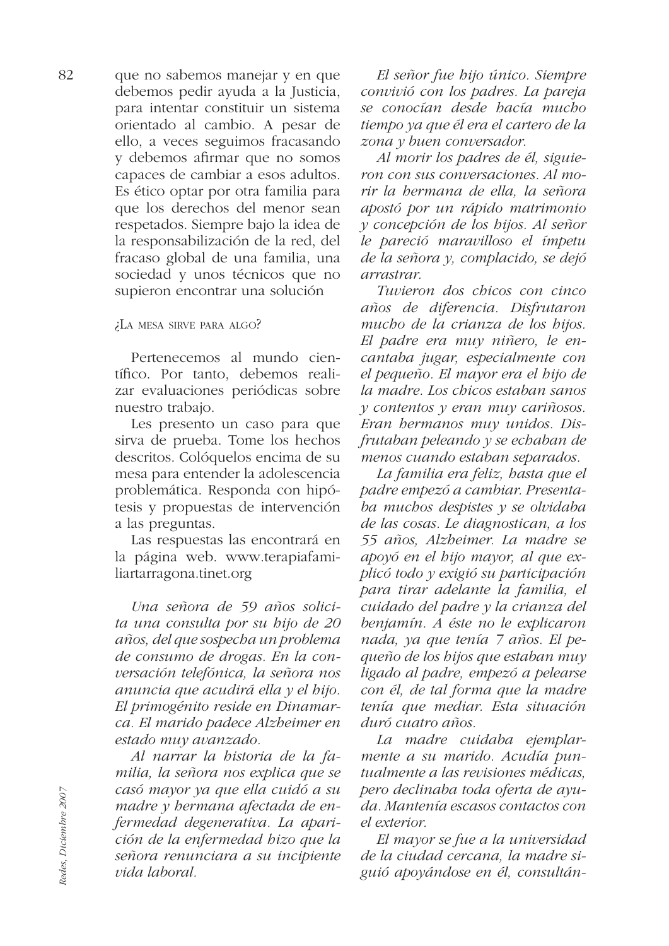que no sabemos manejar y en que debemos pedir ayuda a la Justicia, para intentar constituir un sistema orientado al cambio. A pesar de ello, a veces seguimos fracasando v debemos afirmar que no somos capaces de cambiar a esos adultos. Es ético optar por otra familia para que los derechos del menor sean respetados. Siempre bajo la idea de la responsabilización de la red, del fracaso global de una familia, una sociedad y unos técnicos que no supieron encontrar una solución

¿LA MESA SIRVE PARA ALGO?

Pertenecemos al mundo científico. Por tanto, debemos realizar evaluaciones periódicas sobre nuestro trabajo.

Les presento un caso para que sirva de prueba. Tome los hechos descritos. Colóquelos encima de su mesa para entender la adolescencia problemática. Responda con hipótesis y propuestas de intervención a las preguntas.

Las respuestas las encontrará en la página web. www.terapiafamiliartarragona.tinet.org

Una señora de 59 años solicita una consulta por su bijo de 20 años, del que sospecha un problema de consumo de drogas. En la conversación telefónica, la señora nos anuncia que acudirá ella y el bijo. El primogénito reside en Dinamarca. El marido padece Alzbeimer en estado muy avanzado.

Al narrar la historia de la familia, la señora nos explica que se casó mayor ya que ella cuidó a su madre y hermana afectada de enfermedad degenerativa. La aparición de la enfermedad bizo que la señora renunciara a su incipiente vida laboral.

El señor fue bijo único. Siempre convivió con los padres. La pareja se conocían desde hacía mucho tiempo ya que él era el cartero de la zona y buen conversador.

Al morir los padres de él, siguieron con sus conversaciones. Al morir la bermana de ella, la señora apostó por un rápido matrimonio y concepción de los hijos. Al señor le pareció maravilloso el ímpetu de la señora y, complacido, se dejó arrastrar.

Tuvieron dos chicos con cinco años de diferencia. Disfrutaron mucho de la crianza de los hijos. El padre era muy niñero, le encantaba jugar, especialmente con el pequeño. El mayor era el hijo de la madre. Los chicos estaban sanos  $\nu$  contentos  $\nu$  eran muy cariñosos. Eran hermanos muy unidos. Disfrutaban peleando y se echaban de menos cuando estaban separados.

La familia era feliz, hasta que el padre empezó a cambiar. Presentaba muchos despistes  $y$  se olvidaba de las cosas. Le diagnostican, a los 55 años, Alzbeimer. La madre se apoyó en el bijo mayor, al que explicó todo y exigió su participación para tirar adelante la familia, el cuidado del padre y la crianza del benjamín. A éste no le explicaron nada, ya que tenía 7 años. El pequeño de los hijos que estaban muy ligado al padre, empezó a pelearse con él, de tal forma que la madre tenía que mediar. Esta situación duró cuatro años.

La madre cuidaba ejemplarmente a su marido. Acudía puntualmente a las revisiones médicas, pero declinaba toda oferta de ayuda. Mantenía escasos contactos con el exterior.

El mayor se fue a la universidad de la ciudad cercana, la madre siguió apoyándose en él, consultán-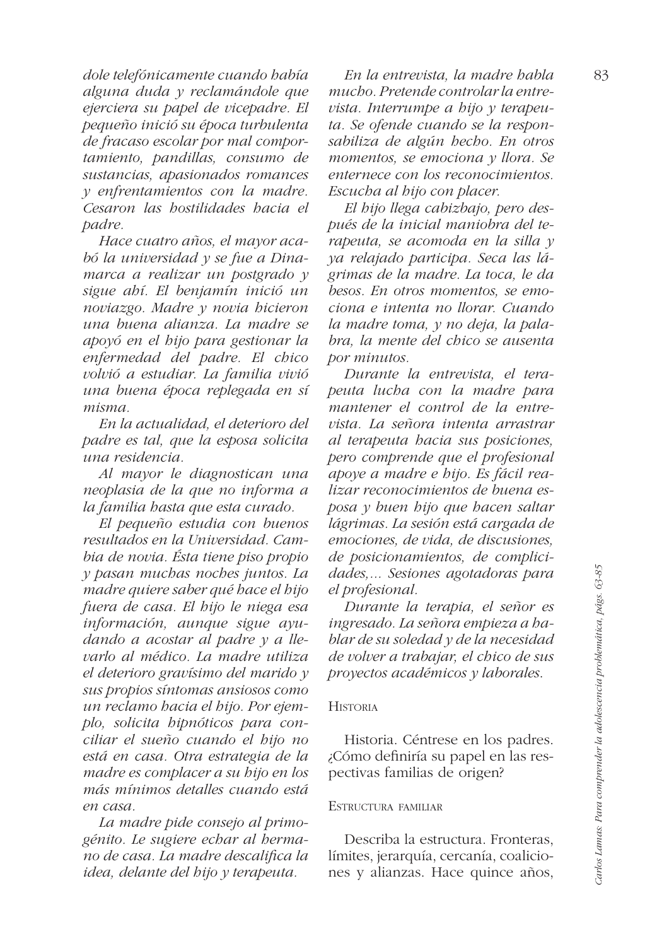dole telefónicamente cuando había alguna duda y reclamándole que ejerciera su papel de vicepadre. El pequeño inició su época turbulenta de fracaso escolar por mal comportamiento, pandillas, consumo de sustancias, apasionados romances y enfrentamientos con la madre. Cesaron las hostilidades hacia el padre.

Hace cuatro años, el mayor acabó la universidad y se fue a Dinamarca a realizar un postgrado y sigue ahí. El benjamín inició un noviazgo. Madre y novia bicieron una buena alianza. La madre se apoyó en el hijo para gestionar la enfermedad del padre. El chico volvió a estudiar. La familia vivió una buena época replegada en sí misma

En la actualidad, el deterioro del padre es tal, que la esposa solicita una residencia.

Al mayor le diagnostican una neoplasia de la que no informa a la familia hasta que esta curado.

El pequeño estudia con buenos resultados en la Universidad. Cambia de novia. Ésta tiene piso propio y pasan muchas noches juntos. La madre quiere saber qué bace el bijo fuera de casa. El bijo le niega esa información, aunque sigue ayudando a acostar al padre  $y$  a llevarlo al médico. La madre utiliza el deterioro gravísimo del marido  $\nu$ sus propios síntomas ansiosos como un reclamo hacia el hijo. Por ejemplo, solicita hipnóticos para conciliar el sueño cuando el bijo no está en casa. Otra estrategia de la madre es complacer a su bijo en los más mínimos detalles cuando está en casa.

La madre pide consejo al primogénito. Le sugiere echar al hermano de casa. La madre descalifica la idea, delante del bijo y terapeuta.

En la entrevista, la madre babla mucho. Pretende controlar la entrevista. Interrumpe a bijo  $\nu$  terapeuta. Se ofende cuando se la responsabiliza de algún hecho. En otros momentos, se emociona y llora. Se enternece con los reconocimientos. Escucha al hijo con placer.

El bijo llega cabizbajo, pero después de la inicial maniobra del terapeuta, se acomoda en la silla y ya relajado participa. Seca las lágrimas de la madre. La toca, le da besos. En otros momentos, se emociona e intenta no llorar. Cuando la madre toma, y no deja, la palabra, la mente del chico se ausenta por minutos.

Durante la entrevista, el terapeuta lucha con la madre para mantener el control de la entrevista. La señora intenta arrastrar al terapeuta hacia sus posiciones, pero comprende que el profesional apoye a madre e bijo. Es fácil realizar reconocimientos de buena esposa y buen bijo que bacen saltar lágrimas. La sesión está cargada de emociones, de vida, de discusiones, de posicionamientos, de complicidades,... Sesiones agotadoras para el profesional.

Durante la terapia, el señor es ingresado. La señora empieza a hablar de su soledad y de la necesidad de volver a trabajar, el chico de sus proyectos académicos y laborales.

#### **HISTORIA**

Historia. Céntrese en los padres. ¿Cómo definiría su papel en las respectivas familias de origen?

#### ESTRUCTURA FAMILIAR

Describa la estructura. Fronteras, límites, jerarquía, cercanía, coaliciones y alianzas. Hace quince años,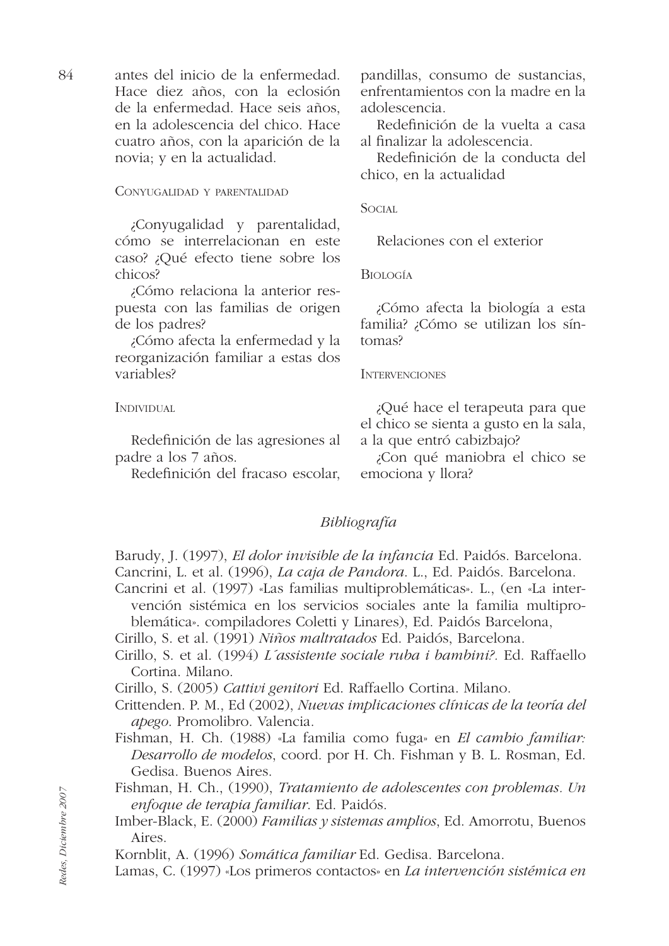antes del inicio de la enfermedad. 84 Hace diez años, con la eclosión de la enfermedad. Hace seis años, en la adolescencia del chico. Hace cuatro años, con la aparición de la novia; y en la actualidad.

CONYUGALIDAD Y PARENTALIDAD

¿Conyugalidad y parentalidad, cómo se interrelacionan en este caso? ¿Qué efecto tiene sobre los chicos?

¿Cómo relaciona la anterior respuesta con las familias de origen de los padres?

¿Cómo afecta la enfermedad y la reorganización familiar a estas dos variables?

**INDIVIDUAL** 

Redefinición de las agresiones al padre a los 7 años.

Redefinición del fracaso escolar,

pandillas, consumo de sustancias, enfrentamientos con la madre en la adolescencia

Redefinición de la vuelta a casa al finalizar la adolescencia.

Redefinición de la conducta del chico, en la actualidad

**SOCIAL** 

Relaciones con el exterior

**BIOLOGÍA** 

¿Cómo afecta la biología a esta familia? ¿Cómo se utilizan los síntomas?

# **INTERVENCIONES**

¿Qué hace el terapeuta para que el chico se sienta a gusto en la sala, a la que entró cabizbajo?

¿Con qué maniobra el chico se emociona y llora?

# Bibliografía

Barudy, J. (1997), El dolor invisible de la infancia Ed. Paidós. Barcelona. Cancrini, L. et al. (1996), La caja de Pandora. L., Ed. Paidós. Barcelona.

Cancrini et al. (1997) «Las familias multiproblemáticas». L., (en «La intervención sistémica en los servicios sociales ante la familia multiproblemática». compiladores Coletti y Linares), Ed. Paidós Barcelona,

Cirillo, S. et al. (1991) Niños maltratados Ed. Paidós, Barcelona.

Cirillo, S. et al. (1994) L'assistente sociale ruba i bambini?. Ed. Raffaello Cortina. Milano.

Cirillo, S. (2005) Cattivi genitori Ed. Raffaello Cortina. Milano.

Crittenden. P. M., Ed (2002), Nuevas implicaciones clínicas de la teoría del apego. Promolibro. Valencia.

Fishman, H. Ch. (1988) «La familia como fuga» en El cambio familiar: Desarrollo de modelos, coord. por H. Ch. Fishman y B. L. Rosman, Ed. Gedisa. Buenos Aires.

Fishman, H. Ch., (1990), Tratamiento de adolescentes con problemas. Un enfoque de terapia familiar. Ed. Paidós.

Imber-Black, E. (2000) Familias y sistemas amplios, Ed. Amorrotu, Buenos Aires.

Kornblit, A. (1996) Somática familiar Ed. Gedisa. Barcelona.

Lamas, C. (1997) «Los primeros contactos» en La intervención sistémica en